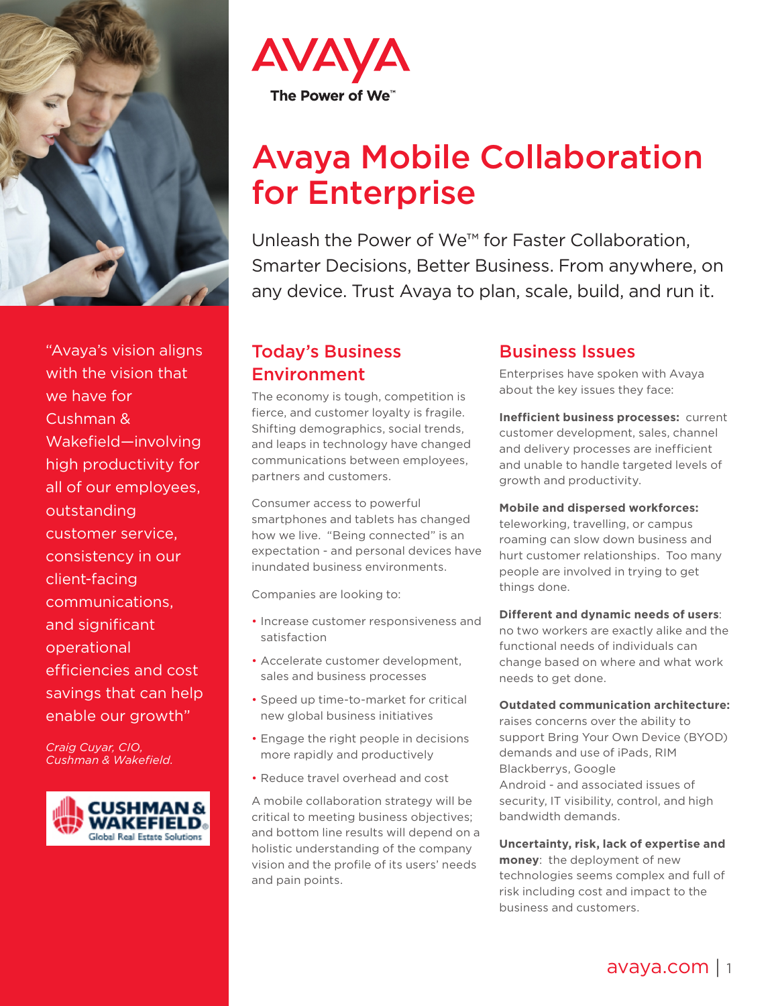

"Avaya's vision aligns with the vision that we have for Cushman & Wakefield—involving high productivity for all of our employees, outstanding customer service, consistency in our client-facing communications, and significant operational efficiencies and cost savings that can help enable our growth"

*Craig Cuyar, CIO, Cushman & Wakefield.*





# Avaya Mobile Collaboration for Enterprise

Unleash the Power of We™ for Faster Collaboration, Smarter Decisions, Better Business. From anywhere, on any device. Trust Avaya to plan, scale, build, and run it.

# Today's Business Environment

The economy is tough, competition is fierce, and customer loyalty is fragile. Shifting demographics, social trends, and leaps in technology have changed communications between employees, partners and customers.

Consumer access to powerful smartphones and tablets has changed how we live. "Being connected" is an expectation - and personal devices have inundated business environments.

Companies are looking to:

- Increase customer responsiveness and satisfaction
- Accelerate customer development, sales and business processes
- Speed up time-to-market for critical new global business initiatives
- Engage the right people in decisions more rapidly and productively
- Reduce travel overhead and cost

A mobile collaboration strategy will be critical to meeting business objectives; and bottom line results will depend on a holistic understanding of the company vision and the profile of its users' needs and pain points.

# Business Issues

Enterprises have spoken with Avaya about the key issues they face:

**Inefficient business processes:** current customer development, sales, channel and delivery processes are inefficient and unable to handle targeted levels of growth and productivity.

**Mobile and dispersed workforces:**  teleworking, travelling, or campus roaming can slow down business and hurt customer relationships. Too many people are involved in trying to get things done.

#### **Different and dynamic needs of users**:

no two workers are exactly alike and the functional needs of individuals can change based on where and what work needs to get done.

#### **Outdated communication architecture:**

raises concerns over the ability to support Bring Your Own Device (BYOD) demands and use of iPads, RIM Blackberrys, Google Android - and associated issues of security, IT visibility, control, and high bandwidth demands.

**Uncertainty, risk, lack of expertise and money**: the deployment of new technologies seems complex and full of risk including cost and impact to the business and customers.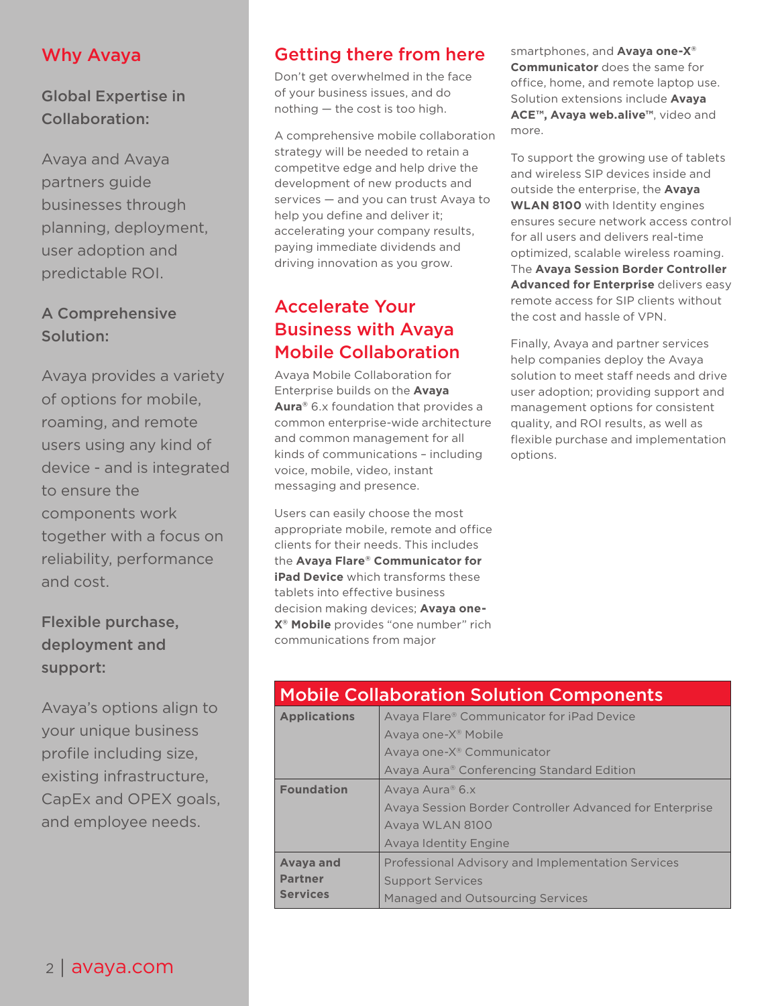### Why Avaya

Global Expertise in Collaboration:

Avaya and Avaya partners guide businesses through planning, deployment, user adoption and predictable ROI.

### A Comprehensive Solution:

Avaya provides a variety of options for mobile, roaming, and remote users using any kind of device - and is integrated to ensure the components work together with a focus on reliability, performance and cost.

# Flexible purchase, deployment and support:

Avaya's options align to your unique business profile including size, existing infrastructure, CapEx and OPEX goals, and employee needs.

# Getting there from here

Don't get overwhelmed in the face of your business issues, and do nothing — the cost is too high.

A comprehensive mobile collaboration strategy will be needed to retain a competitve edge and help drive the development of new products and services — and you can trust Avaya to help you define and deliver it; accelerating your company results, paying immediate dividends and driving innovation as you grow.

# Accelerate Your Business with Avaya Mobile Collaboration

Avaya Mobile Collaboration for Enterprise builds on the **Avaya Aura®** 6.x foundation that provides a common enterprise-wide architecture and common management for all kinds of communications – including voice, mobile, video, instant messaging and presence.

Users can easily choose the most appropriate mobile, remote and office clients for their needs. This includes the **Avaya Flare® Communicator for iPad Device** which transforms these tablets into effective business decision making devices; **Avaya one-X® Mobile** provides "one number" rich communications from major

smartphones, and **Avaya one-X® Communicator** does the same for office, home, and remote laptop use. Solution extensions include **Avaya ACE™, Avaya web.alive™**, video and more.

To support the growing use of tablets and wireless SIP devices inside and outside the enterprise, the **Avaya WLAN 8100** with Identity engines ensures secure network access control for all users and delivers real-time optimized, scalable wireless roaming. The **Avaya Session Border Controller Advanced for Enterprise** delivers easy remote access for SIP clients without the cost and hassle of VPN.

Finally, Avaya and partner services help companies deploy the Avaya solution to meet staff needs and drive user adoption; providing support and management options for consistent quality, and ROI results, as well as flexible purchase and implementation options.

| <b>Mobile Collaboration Solution Components</b> |                                                         |
|-------------------------------------------------|---------------------------------------------------------|
| <b>Applications</b>                             | Avaya Flare® Communicator for iPad Device               |
|                                                 | Avaya one-X <sup>®</sup> Mobile                         |
|                                                 | Avaya one-X <sup>®</sup> Communicator                   |
|                                                 | Avaya Aura® Conferencing Standard Edition               |
| <b>Foundation</b>                               | Avaya Aura® 6.x                                         |
|                                                 | Avaya Session Border Controller Advanced for Enterprise |
|                                                 | Avaya WLAN 8100                                         |
|                                                 | Avaya Identity Engine                                   |
| Avaya and                                       | Professional Advisory and Implementation Services       |
| <b>Partner</b>                                  | <b>Support Services</b>                                 |
| <b>Services</b>                                 | Managed and Outsourcing Services                        |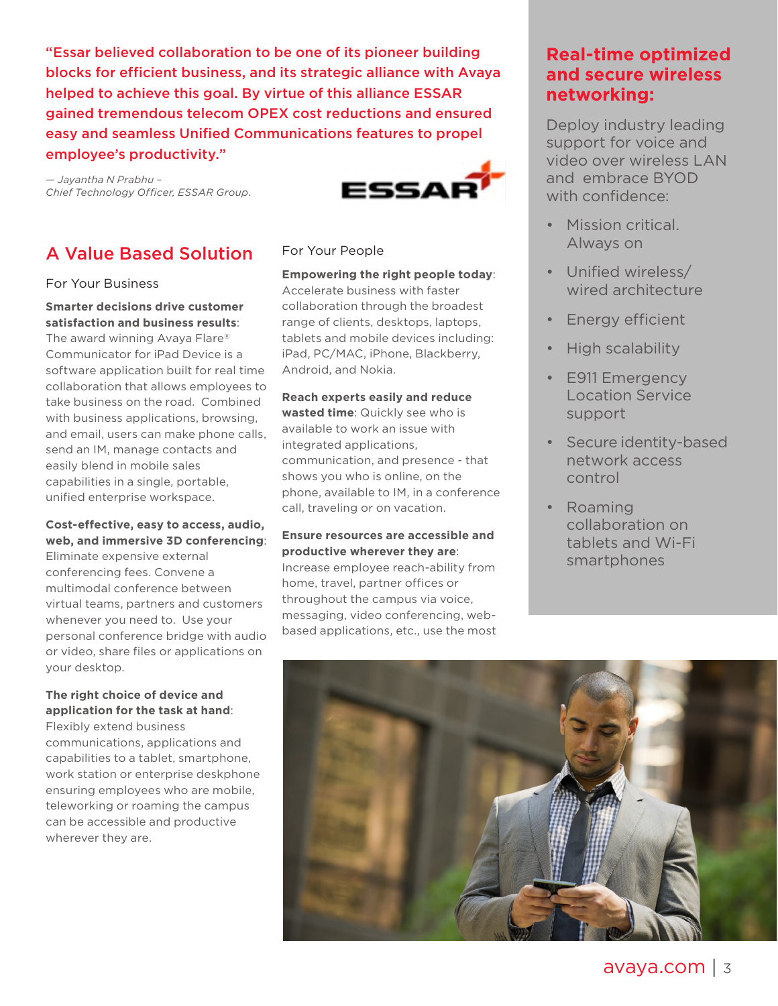"Essar believed collaboration to be one of its pioneer building blocks for efficient business, and its strategic alliance with Avaya helped to achieve this goal. By virtue of this alliance ESSAR gained tremendous telecom OPEX cost reductions and ensured easy and seamless Unified Communications features to propel employee's productivity."

*— Jayantha N Prabhu – Chief Technology Officer, ESSAR Group*.



# A Value Based Solution

#### For Your Business

**Smarter decisions drive customer satisfaction and business results**:

The award winning Avaya Flare® Communicator for iPad Device is a software application built for real time collaboration that allows employees to take business on the road. Combined with business applications, browsing, and email, users can make phone calls, send an IM, manage contacts and easily blend in mobile sales capabilities in a single, portable, unified enterprise workspace.

#### **Cost-effective, easy to access, audio, web, and immersive 3D conferencing**:

Eliminate expensive external conferencing fees. Convene a multimodal conference between virtual teams, partners and customers whenever you need to. Use your personal conference bridge with audio or video, share files or applications on your desktop.

#### **The right choice of device and application for the task at hand**:

Flexibly extend business communications, applications and capabilities to a tablet, smartphone, work station or enterprise deskphone ensuring employees who are mobile, teleworking or roaming the campus can be accessible and productive wherever they are.

#### For Your People

**Empowering the right people today**: Accelerate business with faster collaboration through the broadest range of clients, desktops, laptops, tablets and mobile devices including: iPad, PC/MAC, iPhone, Blackberry, Android, and Nokia.

#### **Reach experts easily and reduce**

**wasted time**: Quickly see who is available to work an issue with integrated applications, communication, and presence - that shows you who is online, on the phone, available to IM, in a conference call, traveling or on vacation.

#### **Ensure resources are accessible and productive wherever they are**:

Increase employee reach-ability from home, travel, partner offices or throughout the campus via voice, messaging, video conferencing, webbased applications, etc., use the most

### **Real-time optimized and secure wireless networking:**

Deploy industry leading support for voice and video over wireless LAN and embrace BYOD with confidence:

- Mission critical. Always on
- Unified wireless/ wired architecture
- Energy efficient
- High scalability
- E911 Emergency Location Service support
- Secure identity-based network access control
- Roaming collaboration on tablets and Wi-Fi smartphones